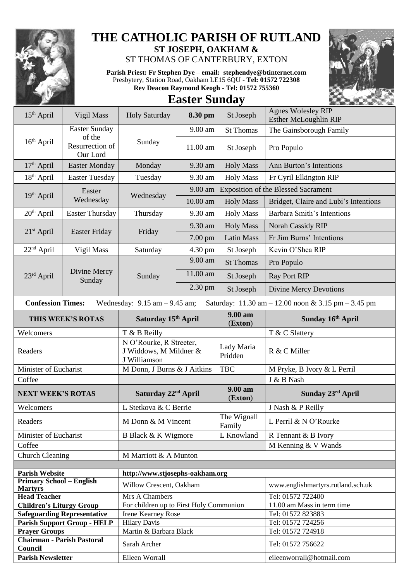

## **THE CATHOLIC PARISH OF RUTLAND ST JOSEPH, OAKHAM &**

ST THOMAS OF CANTERBURY, EXTON

**Parish Priest: Fr Stephen Dye** – **[email: stephendye@btinternet.com](mailto:email:%20%20stephendye@btinternet.com)** Presbytery, Station Road, Oakham LE15 6QU - **Tel: 01572 722308 Rev Deacon Raymond Keogh - Tel: 01572 755360**



## **Easter Sunday**

| 15 <sup>th</sup> April                                 | Vigil Mass                            | <b>Holy Saturday</b>                                              | 8.30 pm                         | St Joseph                             | <b>Agnes Wolesley RIP</b><br><b>Esther McLoughlin RIP</b> |  |  |  |
|--------------------------------------------------------|---------------------------------------|-------------------------------------------------------------------|---------------------------------|---------------------------------------|-----------------------------------------------------------|--|--|--|
|                                                        | <b>Easter Sunday</b>                  |                                                                   | 9.00 am                         | <b>St Thomas</b>                      | The Gainsborough Family                                   |  |  |  |
| 16 <sup>th</sup> April                                 | of the<br>Resurrection of<br>Our Lord | Sunday                                                            | 11.00 am                        | St Joseph                             | Pro Populo                                                |  |  |  |
| $17th$ April                                           | <b>Easter Monday</b>                  | Monday                                                            | 9.30 am                         | <b>Holy Mass</b>                      | Ann Burton's Intentions                                   |  |  |  |
| $18th$ April                                           | <b>Easter Tuesday</b>                 | Tuesday                                                           | 9.30 am                         | <b>Holy Mass</b>                      | Fr Cyril Elkington RIP                                    |  |  |  |
|                                                        | Easter<br>Wednesday                   |                                                                   | 9.00 am                         |                                       | <b>Exposition of the Blessed Sacrament</b>                |  |  |  |
| 19 <sup>th</sup> April                                 |                                       | Wednesday                                                         | $10.00$ am                      | <b>Holy Mass</b>                      | Bridget, Claire and Lubi's Intentions                     |  |  |  |
| $20th$ April                                           | <b>Easter Thursday</b>                | Thursday                                                          | <b>Holy Mass</b><br>9.30 am     |                                       | Barbara Smith's Intentions                                |  |  |  |
|                                                        | <b>Easter Friday</b>                  |                                                                   | 9.30 am                         | <b>Holy Mass</b>                      | Norah Cassidy RIP                                         |  |  |  |
| $21st$ April                                           |                                       | Friday                                                            | 7.00 pm                         | <b>Latin Mass</b>                     | Fr Jim Burns' Intentions                                  |  |  |  |
| $22nd$ April                                           | Vigil Mass                            | Saturday                                                          | 4.30 pm                         | St Joseph                             | Kevin O'Shea RIP                                          |  |  |  |
|                                                        |                                       |                                                                   | 9.00 am                         | <b>St Thomas</b>                      | Pro Populo                                                |  |  |  |
| 23rd April                                             | Divine Mercy<br>Sunday                | Sunday                                                            | 11.00 am                        | St Joseph                             | <b>Ray Port RIP</b>                                       |  |  |  |
|                                                        |                                       |                                                                   | 2.30 pm                         | St Joseph                             | <b>Divine Mercy Devotions</b>                             |  |  |  |
| <b>Confession Times:</b>                               |                                       | Wednesday: $9.15$ am $- 9.45$ am;                                 |                                 |                                       | Saturday: 11.30 am - 12.00 noon & 3.15 pm - 3.45 pm       |  |  |  |
|                                                        | THIS WEEK'S ROTAS                     | Saturday 15th April                                               |                                 | 9.00 am<br>(Exton)                    | Sunday 16th April                                         |  |  |  |
| Welcomers                                              |                                       | T & B Reilly                                                      |                                 |                                       | T & C Slattery                                            |  |  |  |
| Readers                                                |                                       | N O'Rourke, R Streeter,<br>J Widdows, M Mildner &<br>J Williamson |                                 | Lady Maria<br>R & C Miller<br>Pridden |                                                           |  |  |  |
| Minister of Eucharist                                  |                                       | M Donn, J Burns & J Aitkins                                       |                                 | <b>TBC</b>                            | M Pryke, B Ivory & L Perril                               |  |  |  |
| Coffee                                                 |                                       |                                                                   |                                 |                                       | J & B Nash                                                |  |  |  |
|                                                        | <b>NEXT WEEK'S ROTAS</b>              |                                                                   | Saturday 22 <sup>nd</sup> April |                                       | Sunday 23rd April                                         |  |  |  |
| Welcomers                                              |                                       |                                                                   | L Stetkova & C Berrie           |                                       | J Nash & P Reilly                                         |  |  |  |
| Readers                                                |                                       |                                                                   | M Donn & M Vincent              |                                       | The Wignall<br>L Perril & N O'Rourke                      |  |  |  |
|                                                        | Minister of Eucharist                 |                                                                   | B Black & K Wigmore             | L Knowland                            | R Tennant & B Ivory                                       |  |  |  |
| Coffee                                                 |                                       |                                                                   |                                 |                                       | M Kenning & V Wands                                       |  |  |  |
| <b>Church Cleaning</b>                                 |                                       | M Marriott & A Munton                                             |                                 |                                       |                                                           |  |  |  |
| <b>Parish Website</b>                                  | http://www.stjosephs-oakham.org       |                                                                   |                                 |                                       |                                                           |  |  |  |
| <b>Primary School - English</b>                        |                                       |                                                                   |                                 |                                       | www.englishmartyrs.rutland.sch.uk                         |  |  |  |
| <b>Martyrs</b>                                         |                                       | Willow Crescent, Oakham                                           |                                 |                                       |                                                           |  |  |  |
| <b>Head Teacher</b><br><b>Children's Liturgy Group</b> |                                       | Mrs A Chambers<br>For children up to First Holy Communion         |                                 |                                       | Tel: 01572 722400<br>11.00 am Mass in term time           |  |  |  |
| <b>Safeguarding Representative</b>                     |                                       | Irene Kearney Rose                                                |                                 |                                       | Tel: 01572 823883                                         |  |  |  |
|                                                        |                                       |                                                                   |                                 |                                       |                                                           |  |  |  |
|                                                        |                                       |                                                                   |                                 |                                       | Tel: 01572 724256                                         |  |  |  |
| <b>Prayer Groups</b>                                   | <b>Parish Support Group - HELP</b>    | <b>Hilary Davis</b><br>Martin & Barbara Black                     |                                 |                                       | Tel: 01572 724918                                         |  |  |  |
| <b>Chairman - Parish Pastoral</b><br>Council           |                                       | Sarah Archer                                                      |                                 |                                       | Tel: 01572 756622                                         |  |  |  |